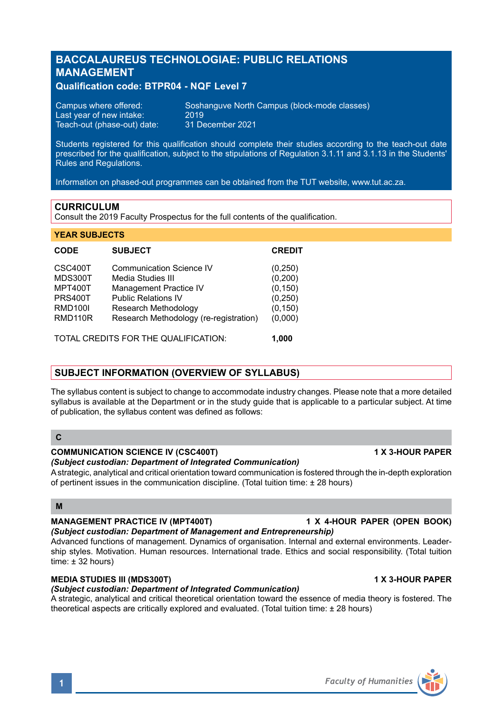# **BACCALAUREUS TECHNOLOGIAE: PUBLIC RELATIONS MANAGEMENT**

# **Qualification code: BTPR04 - NQF Level 7**

Last year of new intake: 2019<br>Teach-out (phase-out) date: 31 December 2021 Teach-out (phase-out) date:

Campus where offered: Soshanguve North Campus (block-mode classes)<br>Last vear of new intake: 2019

Students registered for this qualification should complete their studies according to the teach-out date prescribed for the qualification, subject to the stipulations of Regulation 3.1.11 and 3.1.13 in the Students' **Rules and Regulations.** 

Information on phased-out programmes can be obtained from the TUT website, www.tut.ac.za.

# **CURRICULUM**

**YEAR SUBJECTS**

Consult the 2019 Faculty Prospectus for the full contents of the qualification.

| <b>CODE</b>                          | <b>SUBJECT</b>                         | <b>CREDIT</b> |
|--------------------------------------|----------------------------------------|---------------|
| CSC400T                              | <b>Communication Science IV</b>        | (0, 250)      |
| <b>MDS300T</b>                       | Media Studies III                      | (0, 200)      |
| <b>MPT400T</b>                       | <b>Management Practice IV</b>          | (0, 150)      |
| <b>PRS400T</b>                       | <b>Public Relations IV</b>             | (0, 250)      |
| <b>RMD100I</b>                       | Research Methodology                   | (0, 150)      |
| RMD <sub>110</sub> R                 | Research Methodology (re-registration) | (0,000)       |
| TOTAL CREDITS FOR THE QUALIFICATION: |                                        | 1.000         |

# **SUBJECT INFORMATION (OVERVIEW OF SYLLABUS)**

The syllabus content is subject to change to accommodate industry changes. Please note that a more detailed syllabus is available at the Department or in the study guide that is applicable to a particular subject. At time of publication, the syllabus content was defined as follows:

# **C**

### **COMMUNICATION SCIENCE IV (CSC400T) 1 X 3-HOUR PAPER**

*(Subject custodian: Department of Integrated Communication)*

A strategic, analytical and critical orientation toward communication is fostered through the in-depth exploration of pertinent issues in the communication discipline. (Total tuition time: ± 28 hours)

## **M**

# **MANAGEMENT PRACTICE IV (MPT400T) 1 X 4-HOUR PAPER (OPEN BOOK)**

*(Subject custodian: Department of Management and Entrepreneurship)* Advanced functions of management. Dynamics of organisation. Internal and external environments. Leadership styles. Motivation. Human resources. International trade. Ethics and social responsibility. (Total tuition time:  $\pm$  32 hours)

# **MEDIA STUDIES III (MDS300T) 1 X 3-HOUR PAPER**

# *(Subject custodian: Department of Integrated Communication)*

A strategic, analytical and critical theoretical orientation toward the essence of media theory is fostered. The theoretical aspects are critically explored and evaluated. (Total tuition time: ± 28 hours)

# **1** *Faculty of Humanities*